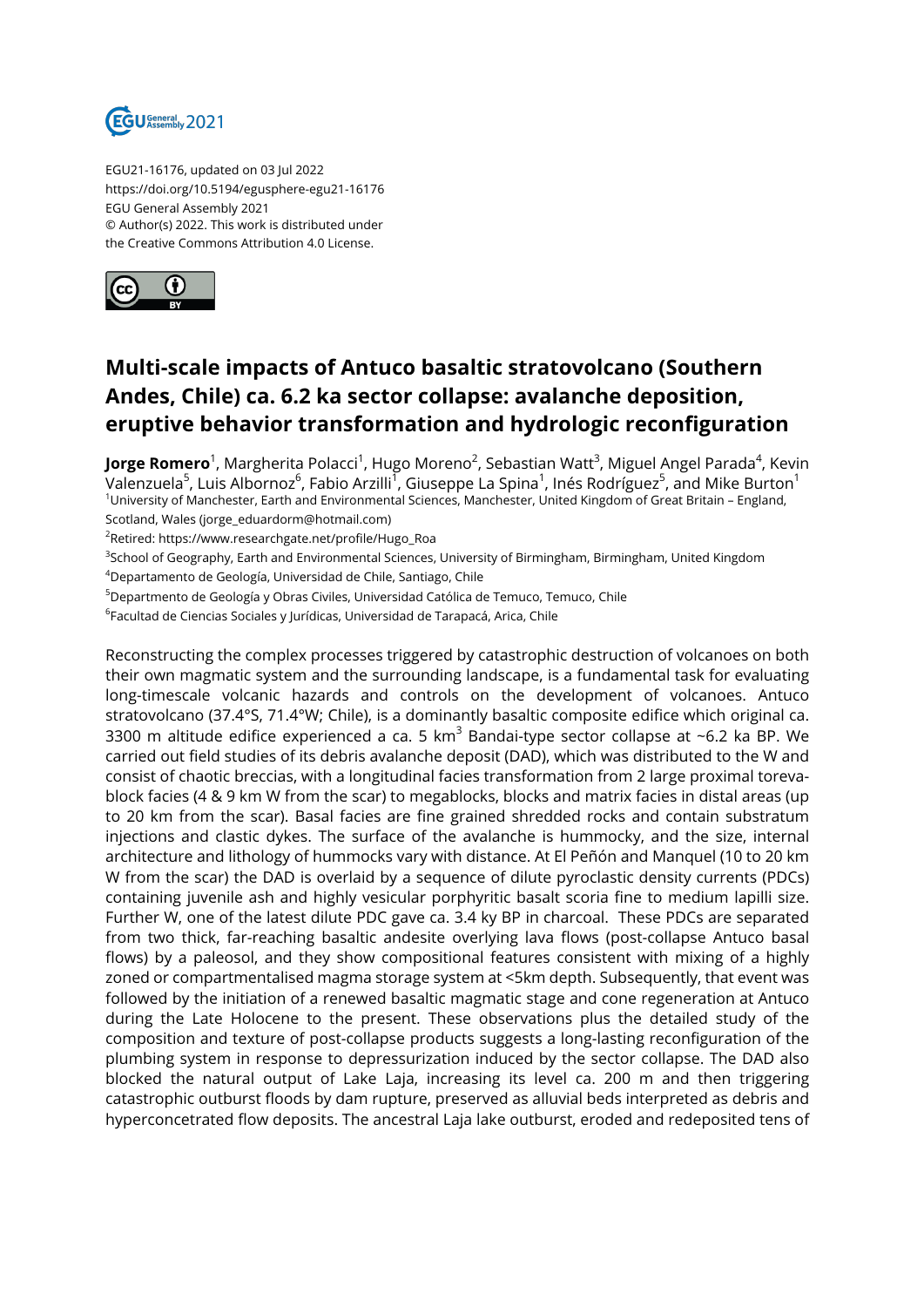

EGU21-16176, updated on 03 Jul 2022 https://doi.org/10.5194/egusphere-egu21-16176 EGU General Assembly 2021 © Author(s) 2022. This work is distributed under the Creative Commons Attribution 4.0 License.



## **Multi-scale impacts of Antuco basaltic stratovolcano (Southern Andes, Chile) ca. 6.2 ka sector collapse: avalanche deposition, eruptive behavior transformation and hydrologic reconfiguration**

**Jorge Romero**<sup>1</sup>, Margherita Polacci<sup>1</sup>, Hugo Moreno<sup>2</sup>, Sebastian Watt<sup>3</sup>, Miguel Angel Parada<sup>4</sup>, Kevin Valenzuela $^5$ , Luis Albornoz $^6$ , Fabio Arzilli $^1$ , Giuseppe La Spina $^1$ , Inés Rodríguez $^5$ , and Mike Burton $^1$ <sup>1</sup>University of Manchester, Earth and Environmental Sciences, Manchester, United Kingdom of Great Britain – England, Scotland, Wales (jorge\_eduardorm@hotmail.com)

<sup>2</sup>Retired: https://www.researchgate.net/profile/Hugo\_Roa

<sup>3</sup>School of Geography, Earth and Environmental Sciences, University of Birmingham, Birmingham, United Kingdom

<sup>4</sup>Departamento de Geología, Universidad de Chile, Santiago, Chile

<sup>5</sup>Departmento de Geología y Obras Civiles, Universidad Católica de Temuco, Temuco, Chile

 $^6$ Facultad de Ciencias Sociales y Jurídicas, Universidad de Tarapacá, Arica, Chile

Reconstructing the complex processes triggered by catastrophic destruction of volcanoes on both their own magmatic system and the surrounding landscape, is a fundamental task for evaluating long-timescale volcanic hazards and controls on the development of volcanoes. Antuco stratovolcano (37.4°S, 71.4°W; Chile), is a dominantly basaltic composite edifice which original ca. 3300 m altitude edifice experienced a ca. 5 km<sup>3</sup> Bandai-type sector collapse at ~6.2 ka BP. We carried out field studies of its debris avalanche deposit (DAD), which was distributed to the W and consist of chaotic breccias, with a longitudinal facies transformation from 2 large proximal torevablock facies (4 & 9 km W from the scar) to megablocks, blocks and matrix facies in distal areas (up to 20 km from the scar). Basal facies are fine grained shredded rocks and contain substratum injections and clastic dykes. The surface of the avalanche is hummocky, and the size, internal architecture and lithology of hummocks vary with distance. At El Peñón and Manquel (10 to 20 km W from the scar) the DAD is overlaid by a sequence of dilute pyroclastic density currents (PDCs) containing juvenile ash and highly vesicular porphyritic basalt scoria fine to medium lapilli size. Further W, one of the latest dilute PDC gave ca. 3.4 ky BP in charcoal. These PDCs are separated from two thick, far-reaching basaltic andesite overlying lava flows (post-collapse Antuco basal flows) by a paleosol, and they show compositional features consistent with mixing of a highly zoned or compartmentalised magma storage system at <5km depth. Subsequently, that event was followed by the initiation of a renewed basaltic magmatic stage and cone regeneration at Antuco during the Late Holocene to the present. These observations plus the detailed study of the composition and texture of post-collapse products suggests a long-lasting reconfiguration of the plumbing system in response to depressurization induced by the sector collapse. The DAD also blocked the natural output of Lake Laja, increasing its level ca. 200 m and then triggering catastrophic outburst floods by dam rupture, preserved as alluvial beds interpreted as debris and hyperconcetrated flow deposits. The ancestral Laja lake outburst, eroded and redeposited tens of